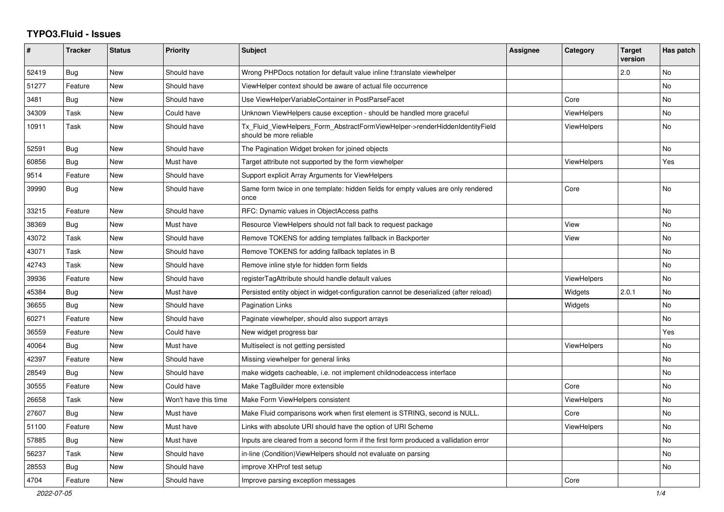## **TYPO3.Fluid - Issues**

| #     | <b>Tracker</b> | <b>Status</b> | <b>Priority</b>      | <b>Subject</b>                                                                                         | Assignee | Category           | <b>Target</b><br>version | Has patch |
|-------|----------------|---------------|----------------------|--------------------------------------------------------------------------------------------------------|----------|--------------------|--------------------------|-----------|
| 52419 | Bug            | New           | Should have          | Wrong PHPDocs notation for default value inline f:translate viewhelper                                 |          |                    | 2.0                      | No        |
| 51277 | Feature        | New           | Should have          | ViewHelper context should be aware of actual file occurrence                                           |          |                    |                          | <b>No</b> |
| 3481  | <b>Bug</b>     | New           | Should have          | Use ViewHelperVariableContainer in PostParseFacet                                                      |          | Core               |                          | No        |
| 34309 | Task           | New           | Could have           | Unknown ViewHelpers cause exception - should be handled more graceful                                  |          | <b>ViewHelpers</b> |                          | No        |
| 10911 | Task           | <b>New</b>    | Should have          | Tx_Fluid_ViewHelpers_Form_AbstractFormViewHelper->renderHiddenIdentityField<br>should be more reliable |          | <b>ViewHelpers</b> |                          | <b>No</b> |
| 52591 | <b>Bug</b>     | <b>New</b>    | Should have          | The Pagination Widget broken for joined objects                                                        |          |                    |                          | No.       |
| 60856 | Bug            | <b>New</b>    | Must have            | Target attribute not supported by the form viewhelper                                                  |          | <b>ViewHelpers</b> |                          | Yes       |
| 9514  | Feature        | New           | Should have          | Support explicit Array Arguments for ViewHelpers                                                       |          |                    |                          |           |
| 39990 | <b>Bug</b>     | New           | Should have          | Same form twice in one template: hidden fields for empty values are only rendered<br>once              |          | Core               |                          | <b>No</b> |
| 33215 | Feature        | New           | Should have          | RFC: Dynamic values in ObjectAccess paths                                                              |          |                    |                          | <b>No</b> |
| 38369 | Bug            | New           | Must have            | Resource ViewHelpers should not fall back to request package                                           |          | View               |                          | No        |
| 43072 | Task           | New           | Should have          | Remove TOKENS for adding templates fallback in Backporter                                              |          | View               |                          | No        |
| 43071 | Task           | New           | Should have          | Remove TOKENS for adding fallback teplates in B                                                        |          |                    |                          | No        |
| 42743 | Task           | <b>New</b>    | Should have          | Remove inline style for hidden form fields                                                             |          |                    |                          | No        |
| 39936 | Feature        | New           | Should have          | registerTagAttribute should handle default values                                                      |          | ViewHelpers        |                          | No        |
| 45384 | <b>Bug</b>     | New           | Must have            | Persisted entity object in widget-configuration cannot be deserialized (after reload)                  |          | Widgets            | 2.0.1                    | No        |
| 36655 | Bug            | New           | Should have          | <b>Pagination Links</b>                                                                                |          | Widgets            |                          | <b>No</b> |
| 60271 | Feature        | New           | Should have          | Paginate viewhelper, should also support arrays                                                        |          |                    |                          | <b>No</b> |
| 36559 | Feature        | New           | Could have           | New widget progress bar                                                                                |          |                    |                          | Yes       |
| 40064 | Bug            | New           | Must have            | Multiselect is not getting persisted                                                                   |          | <b>ViewHelpers</b> |                          | No        |
| 42397 | Feature        | New           | Should have          | Missing viewhelper for general links                                                                   |          |                    |                          | No        |
| 28549 | <b>Bug</b>     | <b>New</b>    | Should have          | make widgets cacheable, i.e. not implement childnodeaccess interface                                   |          |                    |                          | <b>No</b> |
| 30555 | Feature        | New           | Could have           | Make TagBuilder more extensible                                                                        |          | Core               |                          | No        |
| 26658 | Task           | New           | Won't have this time | Make Form ViewHelpers consistent                                                                       |          | ViewHelpers        |                          | <b>No</b> |
| 27607 | Bug            | New           | Must have            | Make Fluid comparisons work when first element is STRING, second is NULL.                              |          | Core               |                          | No        |
| 51100 | Feature        | New           | Must have            | Links with absolute URI should have the option of URI Scheme                                           |          | <b>ViewHelpers</b> |                          | <b>No</b> |
| 57885 | Bug            | <b>New</b>    | Must have            | Inputs are cleared from a second form if the first form produced a vallidation error                   |          |                    |                          | <b>No</b> |
| 56237 | Task           | New           | Should have          | in-line (Condition) View Helpers should not evaluate on parsing                                        |          |                    |                          | No        |
| 28553 | Bug            | <b>New</b>    | Should have          | improve XHProf test setup                                                                              |          |                    |                          | No.       |
| 4704  | Feature        | <b>New</b>    | Should have          | Improve parsing exception messages                                                                     |          | Core               |                          |           |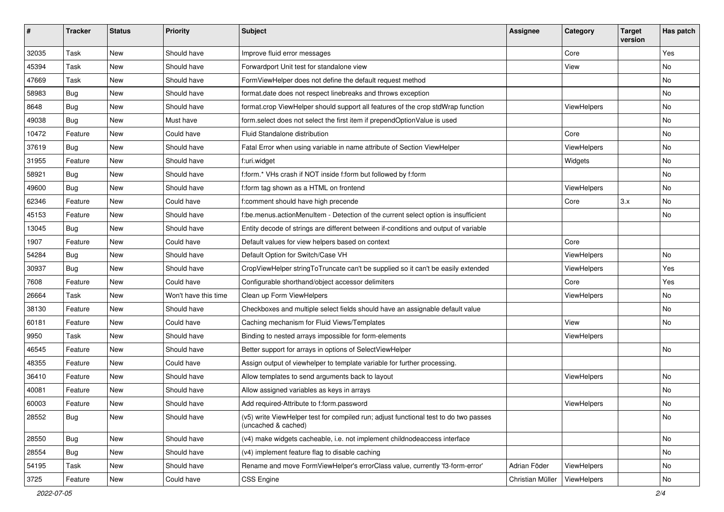| $\sharp$ | <b>Tracker</b> | <b>Status</b> | <b>Priority</b>      | Subject                                                                                                     | <b>Assignee</b>  | Category    | <b>Target</b><br>version | Has patch |
|----------|----------------|---------------|----------------------|-------------------------------------------------------------------------------------------------------------|------------------|-------------|--------------------------|-----------|
| 32035    | Task           | New           | Should have          | Improve fluid error messages                                                                                |                  | Core        |                          | Yes       |
| 45394    | Task           | New           | Should have          | Forwardport Unit test for standalone view                                                                   |                  | View        |                          | No        |
| 47669    | Task           | New           | Should have          | FormViewHelper does not define the default request method                                                   |                  |             |                          | No        |
| 58983    | Bug            | New           | Should have          | format.date does not respect linebreaks and throws exception                                                |                  |             |                          | No        |
| 8648     | Bug            | New           | Should have          | format.crop ViewHelper should support all features of the crop stdWrap function                             |                  | ViewHelpers |                          | No        |
| 49038    | Bug            | New           | Must have            | form.select does not select the first item if prependOptionValue is used                                    |                  |             |                          | <b>No</b> |
| 10472    | Feature        | New           | Could have           | Fluid Standalone distribution                                                                               |                  | Core        |                          | No        |
| 37619    | Bug            | <b>New</b>    | Should have          | Fatal Error when using variable in name attribute of Section ViewHelper                                     |                  | ViewHelpers |                          | No        |
| 31955    | Feature        | New           | Should have          | f:uri.widget                                                                                                |                  | Widgets     |                          | No        |
| 58921    | Bug            | New           | Should have          | f:form.* VHs crash if NOT inside f:form but followed by f:form                                              |                  |             |                          | No        |
| 49600    | Bug            | New           | Should have          | f:form tag shown as a HTML on frontend                                                                      |                  | ViewHelpers |                          | No        |
| 62346    | Feature        | New           | Could have           | f:comment should have high precende                                                                         |                  | Core        | 3.x                      | No        |
| 45153    | Feature        | New           | Should have          | f:be.menus.actionMenuItem - Detection of the current select option is insufficient                          |                  |             |                          | No        |
| 13045    | Bug            | New           | Should have          | Entity decode of strings are different between if-conditions and output of variable                         |                  |             |                          |           |
| 1907     | Feature        | New           | Could have           | Default values for view helpers based on context                                                            |                  | Core        |                          |           |
| 54284    | Bug            | New           | Should have          | Default Option for Switch/Case VH                                                                           |                  | ViewHelpers |                          | No        |
| 30937    | Bug            | New           | Should have          | CropViewHelper stringToTruncate can't be supplied so it can't be easily extended                            |                  | ViewHelpers |                          | Yes       |
| 7608     | Feature        | New           | Could have           | Configurable shorthand/object accessor delimiters                                                           |                  | Core        |                          | Yes       |
| 26664    | Task           | <b>New</b>    | Won't have this time | Clean up Form ViewHelpers                                                                                   |                  | ViewHelpers |                          | No        |
| 38130    | Feature        | New           | Should have          | Checkboxes and multiple select fields should have an assignable default value                               |                  |             |                          | No        |
| 60181    | Feature        | New           | Could have           | Caching mechanism for Fluid Views/Templates                                                                 |                  | View        |                          | No        |
| 9950     | Task           | New           | Should have          | Binding to nested arrays impossible for form-elements                                                       |                  | ViewHelpers |                          |           |
| 46545    | Feature        | New           | Should have          | Better support for arrays in options of SelectViewHelper                                                    |                  |             |                          | No        |
| 48355    | Feature        | New           | Could have           | Assign output of viewhelper to template variable for further processing.                                    |                  |             |                          |           |
| 36410    | Feature        | New           | Should have          | Allow templates to send arguments back to layout                                                            |                  | ViewHelpers |                          | No        |
| 40081    | Feature        | New           | Should have          | Allow assigned variables as keys in arrays                                                                  |                  |             |                          | <b>No</b> |
| 60003    | Feature        | New           | Should have          | Add required-Attribute to f:form.password                                                                   |                  | ViewHelpers |                          | No        |
| 28552    | <b>Bug</b>     | New           | Should have          | (v5) write ViewHelper test for compiled run; adjust functional test to do two passes<br>(uncached & cached) |                  |             |                          | No        |
| 28550    | <b>Bug</b>     | New           | Should have          | (v4) make widgets cacheable, i.e. not implement childnodeaccess interface                                   |                  |             |                          | No        |
| 28554    | Bug            | New           | Should have          | (v4) implement feature flag to disable caching                                                              |                  |             |                          | No        |
| 54195    | Task           | New           | Should have          | Rename and move FormViewHelper's errorClass value, currently 'f3-form-error'                                | Adrian Föder     | ViewHelpers |                          | No        |
| 3725     | Feature        | New           | Could have           | CSS Engine                                                                                                  | Christian Müller | ViewHelpers |                          | No        |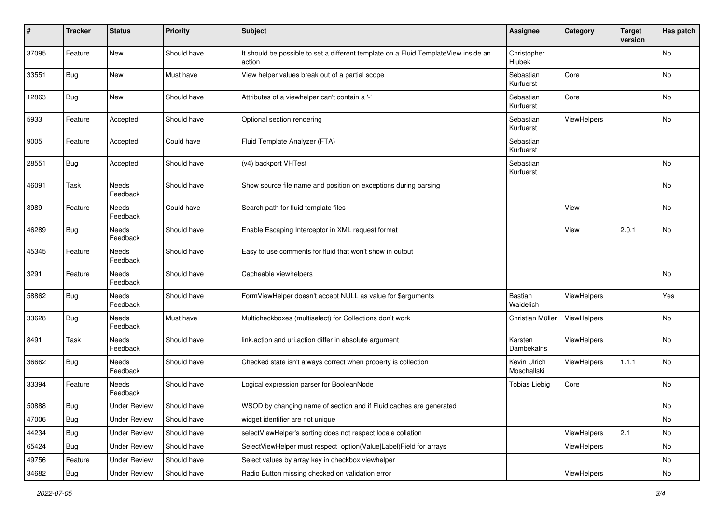| ∦     | <b>Tracker</b> | <b>Status</b>            | <b>Priority</b> | <b>Subject</b>                                                                                | <b>Assignee</b>              | Category           | <b>Target</b><br>version | Has patch |
|-------|----------------|--------------------------|-----------------|-----------------------------------------------------------------------------------------------|------------------------------|--------------------|--------------------------|-----------|
| 37095 | Feature        | New                      | Should have     | It should be possible to set a different template on a Fluid TemplateView inside an<br>action | Christopher<br><b>Hlubek</b> |                    |                          | No        |
| 33551 | Bug            | New                      | Must have       | View helper values break out of a partial scope                                               | Sebastian<br>Kurfuerst       | Core               |                          | No        |
| 12863 | <b>Bug</b>     | New                      | Should have     | Attributes of a viewhelper can't contain a '-'                                                | Sebastian<br>Kurfuerst       | Core               |                          | No        |
| 5933  | Feature        | Accepted                 | Should have     | Optional section rendering                                                                    | Sebastian<br>Kurfuerst       | <b>ViewHelpers</b> |                          | <b>No</b> |
| 9005  | Feature        | Accepted                 | Could have      | Fluid Template Analyzer (FTA)                                                                 | Sebastian<br>Kurfuerst       |                    |                          |           |
| 28551 | <b>Bug</b>     | Accepted                 | Should have     | (v4) backport VHTest                                                                          | Sebastian<br>Kurfuerst       |                    |                          | <b>No</b> |
| 46091 | Task           | Needs<br>Feedback        | Should have     | Show source file name and position on exceptions during parsing                               |                              |                    |                          | <b>No</b> |
| 8989  | Feature        | Needs<br>Feedback        | Could have      | Search path for fluid template files                                                          |                              | View               |                          | No        |
| 46289 | <b>Bug</b>     | Needs<br>Feedback        | Should have     | Enable Escaping Interceptor in XML request format                                             |                              | View               | 2.0.1                    | No        |
| 45345 | Feature        | Needs<br>Feedback        | Should have     | Easy to use comments for fluid that won't show in output                                      |                              |                    |                          |           |
| 3291  | Feature        | Needs<br>Feedback        | Should have     | Cacheable viewhelpers                                                                         |                              |                    |                          | No        |
| 58862 | <b>Bug</b>     | <b>Needs</b><br>Feedback | Should have     | FormViewHelper doesn't accept NULL as value for \$arguments                                   | Bastian<br>Waidelich         | ViewHelpers        |                          | Yes       |
| 33628 | <b>Bug</b>     | <b>Needs</b><br>Feedback | Must have       | Multicheckboxes (multiselect) for Collections don't work                                      | Christian Müller             | ViewHelpers        |                          | <b>No</b> |
| 8491  | Task           | Needs<br>Feedback        | Should have     | link.action and uri.action differ in absolute argument                                        | Karsten<br>Dambekalns        | ViewHelpers        |                          | <b>No</b> |
| 36662 | <b>Bug</b>     | <b>Needs</b><br>Feedback | Should have     | Checked state isn't always correct when property is collection                                | Kevin Ulrich<br>Moschallski  | ViewHelpers        | 1.1.1                    | No        |
| 33394 | Feature        | Needs<br>Feedback        | Should have     | Logical expression parser for BooleanNode                                                     | <b>Tobias Liebig</b>         | Core               |                          | No        |
| 50888 | Bug            | <b>Under Review</b>      | Should have     | WSOD by changing name of section and if Fluid caches are generated                            |                              |                    |                          | <b>No</b> |
| 47006 | <b>Bug</b>     | <b>Under Review</b>      | Should have     | widget identifier are not unique                                                              |                              |                    |                          | No        |
| 44234 | <b>Bug</b>     | <b>Under Review</b>      | Should have     | selectViewHelper's sorting does not respect locale collation                                  |                              | ViewHelpers        | 2.1                      | No        |
| 65424 | <b>Bug</b>     | <b>Under Review</b>      | Should have     | SelectViewHelper must respect option(Value Label)Field for arrays                             |                              | ViewHelpers        |                          | No        |
| 49756 | Feature        | <b>Under Review</b>      | Should have     | Select values by array key in checkbox viewhelper                                             |                              |                    |                          | No        |
| 34682 | Bug            | <b>Under Review</b>      | Should have     | Radio Button missing checked on validation error                                              |                              | ViewHelpers        |                          | No        |